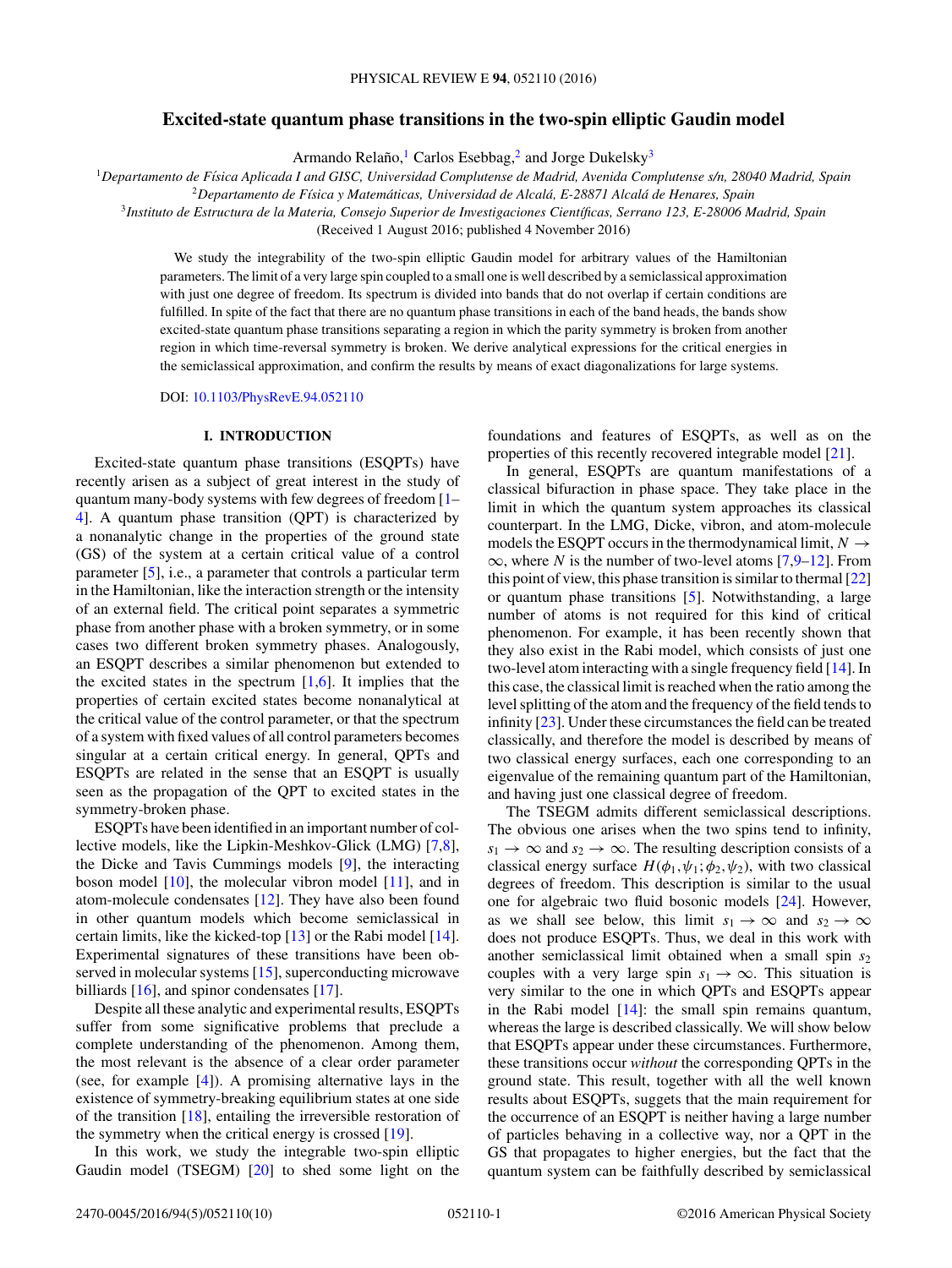# **Excited-state quantum phase transitions in the two-spin elliptic Gaudin model**

Armando Relaño,<sup>1</sup> Carlos Esebbag,<sup>2</sup> and Jorge Dukelsky<sup>3</sup>

<sup>1</sup>*Departamento de F´ısica Aplicada I and GISC, Universidad Complutense de Madrid, Avenida Complutense s/n, 28040 Madrid, Spain*

<sup>2</sup>*Departamento de F´ısica y Matematicas, Universidad de Alcal ´ a, E-28871 Alcal ´ a de Henares, Spain ´*

<sup>3</sup>*Instituto de Estructura de la Materia, Consejo Superior de Investigaciones Cient´ıficas, Serrano 123, E-28006 Madrid, Spain*

(Received 1 August 2016; published 4 November 2016)

We study the integrability of the two-spin elliptic Gaudin model for arbitrary values of the Hamiltonian parameters. The limit of a very large spin coupled to a small one is well described by a semiclassical approximation with just one degree of freedom. Its spectrum is divided into bands that do not overlap if certain conditions are fulfilled. In spite of the fact that there are no quantum phase transitions in each of the band heads, the bands show excited-state quantum phase transitions separating a region in which the parity symmetry is broken from another region in which time-reversal symmetry is broken. We derive analytical expressions for the critical energies in the semiclassical approximation, and confirm the results by means of exact diagonalizations for large systems.

DOI: [10.1103/PhysRevE.94.052110](https://doi.org/10.1103/PhysRevE.94.052110)

## **I. INTRODUCTION**

Excited-state quantum phase transitions (ESQPTs) have recently arisen as a subject of great interest in the study of quantum many-body systems with few degrees of freedom [\[1–](#page-9-0) [4\]](#page-9-0). A quantum phase transition (QPT) is characterized by a nonanalytic change in the properties of the ground state (GS) of the system at a certain critical value of a control parameter [\[5\]](#page-9-0), i.e., a parameter that controls a particular term in the Hamiltonian, like the interaction strength or the intensity of an external field. The critical point separates a symmetric phase from another phase with a broken symmetry, or in some cases two different broken symmetry phases. Analogously, an ESQPT describes a similar phenomenon but extended to the excited states in the spectrum  $[1,6]$ . It implies that the properties of certain excited states become nonanalytical at the critical value of the control parameter, or that the spectrum of a system with fixed values of all control parameters becomes singular at a certain critical energy. In general, QPTs and ESQPTs are related in the sense that an ESQPT is usually seen as the propagation of the QPT to excited states in the symmetry-broken phase.

ESQPTs have been identified in an important number of collective models, like the Lipkin-Meshkov-Glick (LMG) [\[7,8\]](#page-9-0), the Dicke and Tavis Cummings models [\[9\]](#page-9-0), the interacting boson model  $[10]$ , the molecular vibron model  $[11]$ , and in atom-molecule condensates [\[12\]](#page-9-0). They have also been found in other quantum models which become semiclassical in certain limits, like the kicked-top [\[13\]](#page-9-0) or the Rabi model [\[14\]](#page-9-0). Experimental signatures of these transitions have been observed in molecular systems [\[15\]](#page-9-0), superconducting microwave billiards [\[16\]](#page-9-0), and spinor condensates [\[17\]](#page-9-0).

Despite all these analytic and experimental results, ESQPTs suffer from some significative problems that preclude a complete understanding of the phenomenon. Among them, the most relevant is the absence of a clear order parameter (see, for example [\[4\]](#page-9-0)). A promising alternative lays in the existence of symmetry-breaking equilibrium states at one side of the transition [\[18\]](#page-9-0), entailing the irreversible restoration of the symmetry when the critical energy is crossed [\[19\]](#page-9-0).

In this work, we study the integrable two-spin elliptic Gaudin model (TSEGM) [\[20\]](#page-9-0) to shed some light on the

foundations and features of ESQPTs, as well as on the properties of this recently recovered integrable model [\[21\]](#page-9-0).

In general, ESQPTs are quantum manifestations of a classical bifuraction in phase space. They take place in the limit in which the quantum system approaches its classical counterpart. In the LMG, Dicke, vibron, and atom-molecule models the ESQPT occurs in the thermodynamical limit,  $N \rightarrow$  $\infty$ , where *N* is the number of two-level atoms [\[7,9–12\]](#page-9-0). From this point of view, this phase transition is similar to thermal  $[22]$ or quantum phase transitions [\[5\]](#page-9-0). Notwithstanding, a large number of atoms is not required for this kind of critical phenomenon. For example, it has been recently shown that they also exist in the Rabi model, which consists of just one two-level atom interacting with a single frequency field [\[14\]](#page-9-0). In this case, the classical limit is reached when the ratio among the level splitting of the atom and the frequency of the field tends to infinity [\[23\]](#page-9-0). Under these circumstances the field can be treated classically, and therefore the model is described by means of two classical energy surfaces, each one corresponding to an eigenvalue of the remaining quantum part of the Hamiltonian, and having just one classical degree of freedom.

The TSEGM admits different semiclassical descriptions. The obvious one arises when the two spins tend to infinity,  $s_1 \rightarrow \infty$  and  $s_2 \rightarrow \infty$ . The resulting description consists of a classical energy surface  $H(\phi_1, \psi_1; \phi_2, \psi_2)$ , with two classical degrees of freedom. This description is similar to the usual one for algebraic two fluid bosonic models [\[24\]](#page-9-0). However, as we shall see below, this limit  $s_1 \rightarrow \infty$  and  $s_2 \rightarrow \infty$ does not produce ESQPTs. Thus, we deal in this work with another semiclassical limit obtained when a small spin  $s_2$ couples with a very large spin  $s_1 \rightarrow \infty$ . This situation is very similar to the one in which QPTs and ESQPTs appear in the Rabi model  $[14]$ : the small spin remains quantum, whereas the large is described classically. We will show below that ESQPTs appear under these circumstances. Furthermore, these transitions occur *without* the corresponding QPTs in the ground state. This result, together with all the well known results about ESQPTs, suggets that the main requirement for the occurrence of an ESQPT is neither having a large number of particles behaving in a collective way, nor a QPT in the GS that propagates to higher energies, but the fact that the quantum system can be faithfully described by semiclassical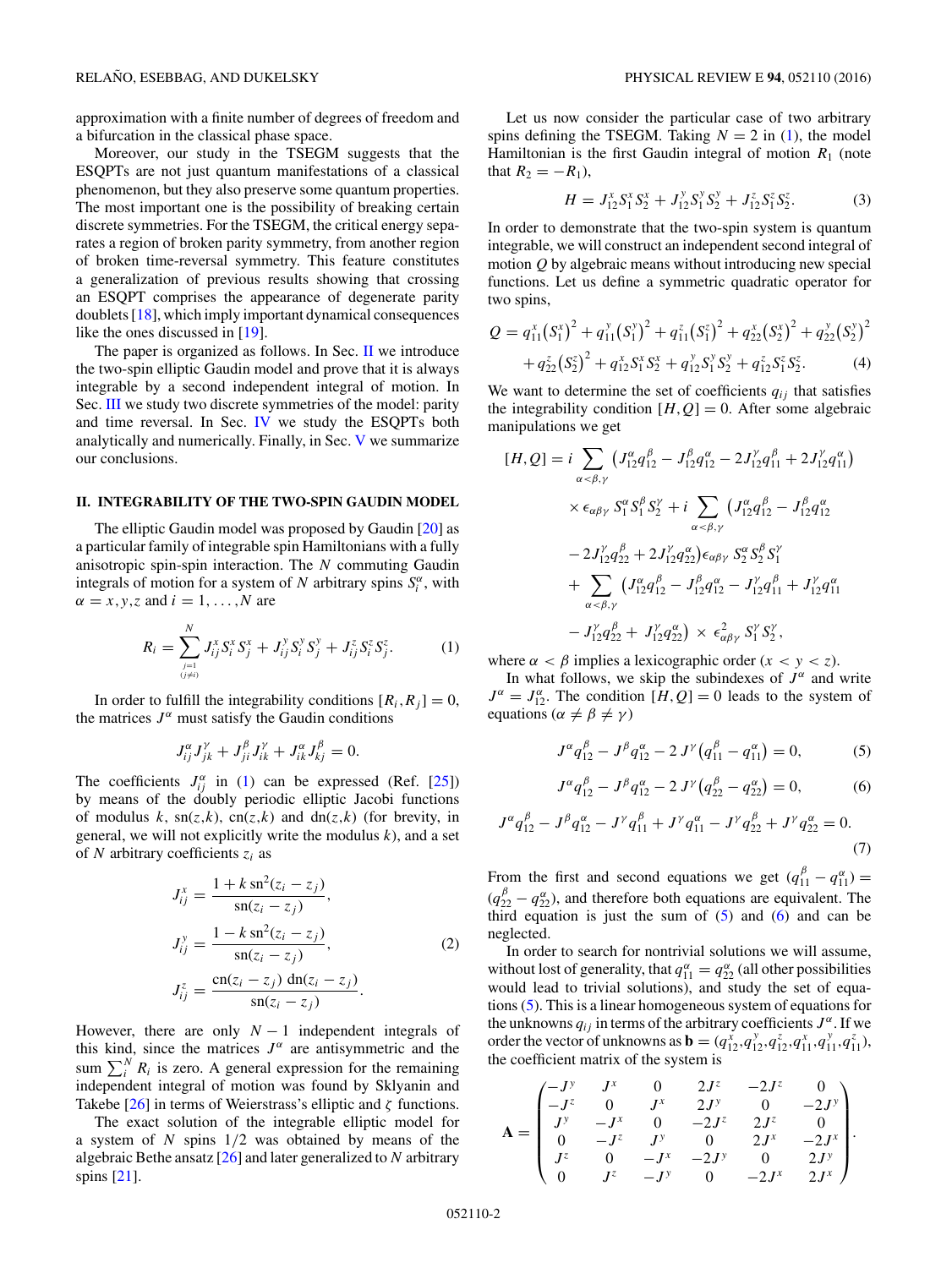<span id="page-1-0"></span>approximation with a finite number of degrees of freedom and a bifurcation in the classical phase space.

Moreover, our study in the TSEGM suggests that the ESQPTs are not just quantum manifestations of a classical phenomenon, but they also preserve some quantum properties. The most important one is the possibility of breaking certain discrete symmetries. For the TSEGM, the critical energy separates a region of broken parity symmetry, from another region of broken time-reversal symmetry. This feature constitutes a generalization of previous results showing that crossing an ESQPT comprises the appearance of degenerate parity doublets [\[18\]](#page-9-0), which imply important dynamical consequences like the ones discussed in [\[19\]](#page-9-0).

The paper is organized as follows. In Sec. II we introduce the two-spin elliptic Gaudin model and prove that it is always integrable by a second independent integral of motion. In Sec. [III](#page-2-0) we study two discrete symmetries of the model: parity and time reversal. In Sec. [IV](#page-3-0) we study the ESQPTs both analytically and numerically. Finally, in Sec. [V](#page-8-0) we summarize our conclusions.

#### **II. INTEGRABILITY OF THE TWO-SPIN GAUDIN MODEL**

The elliptic Gaudin model was proposed by Gaudin [\[20\]](#page-9-0) as a particular family of integrable spin Hamiltonians with a fully anisotropic spin-spin interaction. The *N* commuting Gaudin integrals of motion for a system of *N* arbitrary spins  $S_i^{\alpha}$ , with  $\alpha = x, y, z$  and  $i = 1, \dots, N$  are

$$
R_i = \sum_{\substack{j=1\\(j\neq i)}}^N J_{ij}^x S_i^x S_j^x + J_{ij}^y S_i^y S_j^y + J_{ij}^z S_i^z S_j^z.
$$
 (1)

In order to fulfill the integrability conditions  $[R_i, R_j] = 0$ , the matrices  $J^{\alpha}$  must satisfy the Gaudin conditions

$$
J_{ij}^{\alpha}J_{jk}^{\gamma}+J_{ji}^{\beta}J_{ik}^{\gamma}+J_{ik}^{\alpha}J_{kj}^{\beta}=0.
$$

The coefficients  $J_{ij}^{\alpha}$  in (1) can be expressed (Ref. [\[25\]](#page-9-0)) by means of the doubly periodic elliptic Jacobi functions of modulus  $k$ , sn( $z$ , $k$ ), cn( $z$ , $k$ ) and dn( $z$ , $k$ ) (for brevity, in general, we will not explicitly write the modulus *k*), and a set of *N* arbitrary coefficients *zi* as

$$
J_{ij}^{x} = \frac{1 + k \operatorname{sn}^{2}(z_{i} - z_{j})}{\operatorname{sn}(z_{i} - z_{j})},
$$
  
\n
$$
J_{ij}^{y} = \frac{1 - k \operatorname{sn}^{2}(z_{i} - z_{j})}{\operatorname{sn}(z_{i} - z_{j})},
$$
  
\n
$$
J_{ij}^{z} = \frac{\operatorname{cn}(z_{i} - z_{j}) \operatorname{dn}(z_{i} - z_{j})}{\operatorname{sn}(z_{i} - z_{j})}.
$$
\n(2)

However, there are only  $N-1$  independent integrals of this kind, since the matrices  $J^{\alpha}$  are antisymmetric and the sum  $\sum_i^N R_i$  is zero. A general expression for the remaining independent integral of motion was found by Sklyanin and Takebe [\[26\]](#page-9-0) in terms of Weierstrass's elliptic and *ζ* functions.

The exact solution of the integrable elliptic model for a system of *N* spins 1*/*2 was obtained by means of the algebraic Bethe ansatz [\[26\]](#page-9-0) and later generalized to *N* arbitrary spins [\[21\]](#page-9-0).

Let us now consider the particular case of two arbitrary spins defining the TSEGM. Taking  $N = 2$  in (1), the model Hamiltonian is the first Gaudin integral of motion  $R_1$  (note that  $R_2 = -R_1$ ),

$$
H = J_{12}^x S_1^x S_2^x + J_{12}^y S_1^y S_2^y + J_{12}^z S_1^z S_2^z.
$$
 (3)

In order to demonstrate that the two-spin system is quantum integrable, we will construct an independent second integral of motion *Q* by algebraic means without introducing new special functions. Let us define a symmetric quadratic operator for two spins,

$$
Q = q_{11}^x (S_1^x)^2 + q_{11}^y (S_1^y)^2 + q_{11}^z (S_1^z)^2 + q_{22}^x (S_2^x)^2 + q_{22}^y (S_2^y)^2
$$
  
+ 
$$
q_{22}^z (S_2^z)^2 + q_{12}^x S_1^x S_2^x + q_{12}^y S_1^y S_2^y + q_{12}^z S_1^z S_2^z.
$$
 (4)

We want to determine the set of coefficients  $q_{ij}$  that satisfies the integrability condition  $[H, Q] = 0$ . After some algebraic manipulations we get

$$
[H, Q] = i \sum_{\alpha < \beta, \gamma} \left( J_{12}^{\alpha} q_{12}^{\beta} - J_{12}^{\beta} q_{12}^{\alpha} - 2 J_{12}^{\gamma} q_{11}^{\beta} + 2 J_{12}^{\gamma} q_{11}^{\alpha} \right) \times \epsilon_{\alpha\beta\gamma} S_1^{\alpha} S_1^{\beta} S_2^{\gamma} + i \sum_{\alpha < \beta, \gamma} \left( J_{12}^{\alpha} q_{12}^{\beta} - J_{12}^{\beta} q_{12}^{\alpha} \right) - 2 J_{12}^{\gamma} q_{22}^{\beta} + 2 J_{12}^{\gamma} q_{22}^{\alpha} \right) \epsilon_{\alpha\beta\gamma} S_2^{\alpha} S_2^{\beta} S_1^{\gamma} + \sum_{\alpha < \beta, \gamma} \left( J_{12}^{\alpha} q_{12}^{\beta} - J_{12}^{\beta} q_{12}^{\alpha} - J_{12}^{\gamma} q_{11}^{\beta} + J_{12}^{\gamma} q_{11}^{\alpha} \right) - J_{12}^{\gamma} q_{22}^{\beta} + J_{12}^{\gamma} q_{22}^{\alpha} \right) \times \epsilon_{\alpha\beta\gamma}^2 S_1^{\gamma} S_2^{\gamma},
$$

where  $\alpha < \beta$  implies a lexicographic order  $(x < y < z)$ .

In what follows, we skip the subindexes of  $J^{\alpha}$  and write  $J^{\alpha} = J_{12}^{\alpha}$ . The condition  $[H, Q] = 0$  leads to the system of equations ( $\alpha \neq \beta \neq \gamma$ )

$$
J^{\alpha}q_{12}^{\beta} - J^{\beta}q_{12}^{\alpha} - 2 J^{\gamma}(q_{11}^{\beta} - q_{11}^{\alpha}) = 0, \qquad (5)
$$

$$
J^{\alpha}q_{12}^{\beta} - J^{\beta}q_{12}^{\alpha} - 2 J^{\gamma}(q_{22}^{\beta} - q_{22}^{\alpha}) = 0, \qquad (6)
$$

$$
J^{\alpha}q_{12}^{\beta} - J^{\beta}q_{12}^{\alpha} - J^{\gamma}q_{11}^{\beta} + J^{\gamma}q_{11}^{\alpha} - J^{\gamma}q_{22}^{\beta} + J^{\gamma}q_{22}^{\alpha} = 0.
$$
\n(7)

From the first and second equations we get  $(q_{11}^{\beta} - q_{11}^{\alpha}) =$  $(q_{22}^{\beta} - q_{22}^{\alpha})$ , and therefore both equations are equivalent. The third equation is just the sum of  $(5)$  and  $(6)$  and can be neglected.

In order to search for nontrivial solutions we will assume, without lost of generality, that  $q_{11}^{\alpha} = q_{22}^{\alpha}$  (all other possibilities would lead to trivial solutions), and study the set of equations (5). This is a linear homogeneous system of equations for the unknowns  $q_{ij}$  in terms of the arbitrary coefficients  $J^{\alpha}$ . If we order the vector of unknowns as **b** =  $(q_{12}^{\dot{x}}, q_{12}^{\dot{y}}, q_{12}^{\dot{z}}, q_{11}^{\dot{x}}, q_{11}^{\dot{y}}, q_{11}^{\dot{z}})$ , the coefficient matrix of the system is

$$
\mathbf{A} = \begin{pmatrix}\n-J^y & J^x & 0 & 2J^z & -2J^z & 0 \\
-J^z & 0 & J^x & 2J^y & 0 & -2J^y \\
J^y & -J^x & 0 & -2J^z & 2J^z & 0 \\
0 & -J^z & J^y & 0 & 2J^x & -2J^x \\
J^z & 0 & -J^x & -2J^y & 0 & 2J^y \\
0 & J^z & -J^y & 0 & -2J^x & 2J^x\n\end{pmatrix}.
$$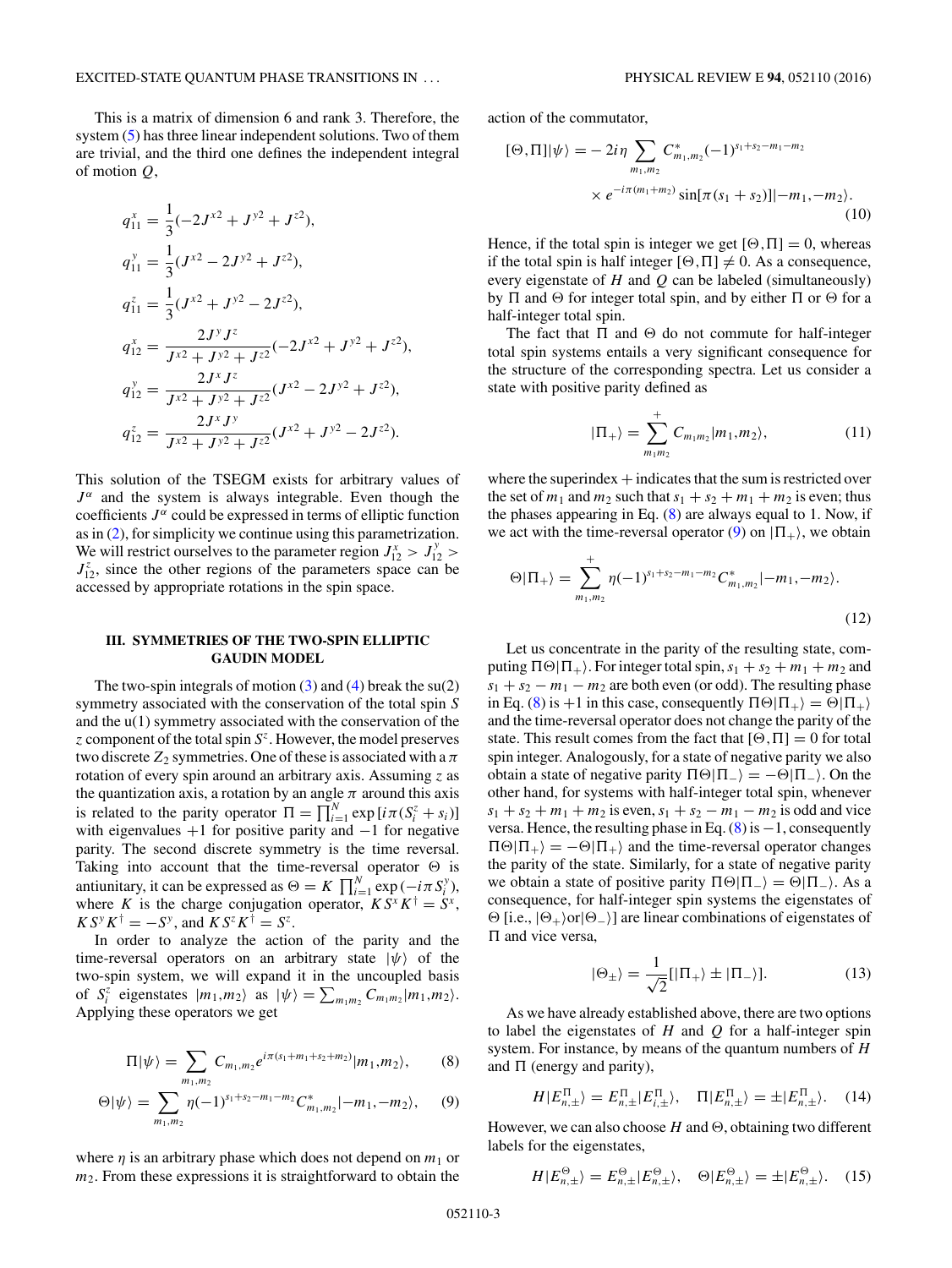<span id="page-2-0"></span>This is a matrix of dimension 6 and rank 3. Therefore, the system [\(5\)](#page-1-0) has three linear independent solutions. Two of them are trivial, and the third one defines the independent integral of motion *Q*,

$$
q_{11}^{x} = \frac{1}{3}(-2J^{x2} + J^{y2} + J^{z2}),
$$
  
\n
$$
q_{11}^{y} = \frac{1}{3}(J^{x2} - 2J^{y2} + J^{z2}),
$$
  
\n
$$
q_{12}^{z} = \frac{1}{J^{x2} + J^{y2} - 2J^{z2}},
$$
  
\n
$$
q_{12}^{x} = \frac{2J^{y}J^{z}}{J^{x2} + J^{y2} + J^{z2}}(-2J^{x2} + J^{y2} + J^{z2}),
$$
  
\n
$$
q_{12}^{y} = \frac{2J^{x}J^{z}}{J^{x2} + J^{y2} + J^{z2}}(J^{x2} - 2J^{y2} + J^{z2}),
$$
  
\n
$$
q_{12}^{z} = \frac{2J^{x}J^{y}}{J^{x2} + J^{y2} + J^{z2}}(J^{x2} + J^{y2} - 2J^{z2}).
$$

This solution of the TSEGM exists for arbitrary values of  $J^{\alpha}$  and the system is always integrable. Even though the coefficients  $J^{\alpha}$  could be expressed in terms of elliptic function as in [\(2\)](#page-1-0), for simplicity we continue using this parametrization. We will restrict ourselves to the parameter region  $J_{12}^x > J_{12}^y >$  $J_{12}^z$ , since the other regions of the parameters space can be accessed by appropriate rotations in the spin space.

# **III. SYMMETRIES OF THE TWO-SPIN ELLIPTIC GAUDIN MODEL**

The two-spin integrals of motion  $(3)$  and  $(4)$  break the su $(2)$ symmetry associated with the conservation of the total spin *S* and the u(1) symmetry associated with the conservation of the *z* component of the total spin *S<sup>z</sup>*. However, the model preserves two discrete  $Z_2$  symmetries. One of these is associated with a  $\pi$ rotation of every spin around an arbitrary axis. Assuming *z* as the quantization axis, a rotation by an angle  $\pi$  around this axis is related to the parity operator  $\Pi = \prod_{i=1}^{N} \exp[i\pi(S_i^z + s_i)]$ with eigenvalues  $+1$  for positive parity and  $-1$  for negative parity. The second discrete symmetry is the time reversal. Taking into account that the time-reversal operator  $\Theta$  is antiunitary, it can be expressed as  $\Theta = K \prod_{i=1}^{N} \exp(-i\pi S_i^y)$ , where *K* is the charge conjugation operator,  $K S^{x} K^{\dagger} = S^{x}$ ,  $K S^{y} K^{\dagger} = -S^{y}$ , and  $K S^{z} K^{\dagger} = S^{z}$ .

In order to analyze the action of the parity and the time-reversal operators on an arbitrary state  $|\psi\rangle$  of the two-spin system, we will expand it in the uncoupled basis of  $S_i^z$  eigenstates  $|m_1, m_2\rangle$  as  $|\psi\rangle = \sum_{m_1m_2} C_{m_1m_2} |m_1, m_2\rangle$ . Applying these operators we get

$$
\Pi|\psi\rangle = \sum_{m_1,m_2} C_{m_1,m_2} e^{i\pi(s_1+m_1+s_2+m_2)} |m_1,m_2\rangle, \qquad (8)
$$

$$
\Theta|\psi\rangle = \sum_{m_1,m_2} \eta(-1)^{s_1+s_2-m_1-m_2} C^*_{m_1,m_2}|-m_1,-m_2\rangle,\qquad(9)
$$

where  $\eta$  is an arbitrary phase which does not depend on  $m_1$  or *m*2. From these expressions it is straightforward to obtain the

action of the commutator,

$$
[\Theta, \Pi]|\psi\rangle = -2i\eta \sum_{m_1, m_2} C^*_{m_1, m_2} (-1)^{s_1 + s_2 - m_1 - m_2}
$$
  
×  $e^{-i\pi(m_1 + m_2)} \sin[\pi(s_1 + s_2)] | -m_1, -m_2 \rangle$ . (10)

Hence, if the total spin is integer we get  $[\Theta, \Pi] = 0$ , whereas if the total spin is half integer  $[\Theta, \Pi] \neq 0$ . As a consequence, every eigenstate of *H* and *Q* can be labeled (simultaneously) by  $\Pi$  and  $\Theta$  for integer total spin, and by either  $\Pi$  or  $\Theta$  for a half-integer total spin.

The fact that  $\Pi$  and  $\Theta$  do not commute for half-integer total spin systems entails a very significant consequence for the structure of the corresponding spectra. Let us consider a state with positive parity defined as

$$
|\Pi_{+}\rangle = \sum_{m_{1}m_{2}}^{+} C_{m_{1}m_{2}} |m_{1},m_{2}\rangle, \qquad (11)
$$

where the superindex  $+$  indicates that the sum is restricted over the set of  $m_1$  and  $m_2$  such that  $s_1 + s_2 + m_1 + m_2$  is even; thus the phases appearing in Eq.  $(8)$  are always equal to 1. Now, if we act with the time-reversal operator (9) on  $|\Pi_+\rangle$ , we obtain

$$
\Theta|\Pi_{+}\rangle = \sum_{m_1,m_2}^{+} \eta(-1)^{s_1+s_2-m_1-m_2} C_{m_1,m_2}^{*}|-m_1,-m_2\rangle.
$$
\n(12)

Let us concentrate in the parity of the resulting state, computing  $\Pi\Theta|\Pi_+\rangle$ . For integer total spin,  $s_1 + s_2 + m_1 + m_2$  and  $s_1 + s_2 - m_1 - m_2$  are both even (or odd). The resulting phase in Eq. (8) is +1 in this case, consequently  $\Pi \Theta | \Pi_+ \rangle = \Theta | \Pi_+ \rangle$ and the time-reversal operator does not change the parity of the state. This result comes from the fact that  $[\Theta, \Pi] = 0$  for total spin integer. Analogously, for a state of negative parity we also obtain a state of negative parity  $\Pi \Theta | \Pi_{-} \rangle = -\Theta | \Pi_{-} \rangle$ . On the other hand, for systems with half-integer total spin, whenever  $s_1 + s_2 + m_1 + m_2$  is even,  $s_1 + s_2 - m_1 - m_2$  is odd and vice versa. Hence, the resulting phase in Eq.  $(8)$  is  $-1$ , consequently  $\Pi \Theta | \Pi_+ \rangle = -\Theta | \Pi_+ \rangle$  and the time-reversal operator changes the parity of the state. Similarly, for a state of negative parity we obtain a state of positive parity  $\Pi \Theta | \Pi_{-} \rangle = \Theta | \Pi_{-} \rangle$ . As a consequence, for half-integer spin systems the eigenstates of  $\Theta$  [i.e.,  $|\Theta_+\rangle$ or $|\Theta_-\rangle$ ] are linear combinations of eigenstates of Π and vice versa,

$$
|\Theta_{\pm}\rangle = \frac{1}{\sqrt{2}}[|\Pi_{+}\rangle \pm |\Pi_{-}\rangle]. \tag{13}
$$

As we have already established above, there are two options to label the eigenstates of *H* and *Q* for a half-integer spin system. For instance, by means of the quantum numbers of *H* and  $\Pi$  (energy and parity),

$$
H|E_{n,\pm}^{\Pi}\rangle = E_{n,\pm}^{\Pi}|E_{i,\pm}^{\Pi}\rangle, \quad \Pi|E_{n,\pm}^{\Pi}\rangle = \pm|E_{n,\pm}^{\Pi}\rangle. \quad (14)
$$

However, we can also choose  $H$  and  $\Theta$ , obtaining two different labels for the eigenstates,

$$
H|E_{n,\pm}^{\Theta}\rangle = E_{n,\pm}^{\Theta}|E_{n,\pm}^{\Theta}\rangle, \quad \Theta|E_{n,\pm}^{\Theta}\rangle = \pm |E_{n,\pm}^{\Theta}\rangle. \quad (15)
$$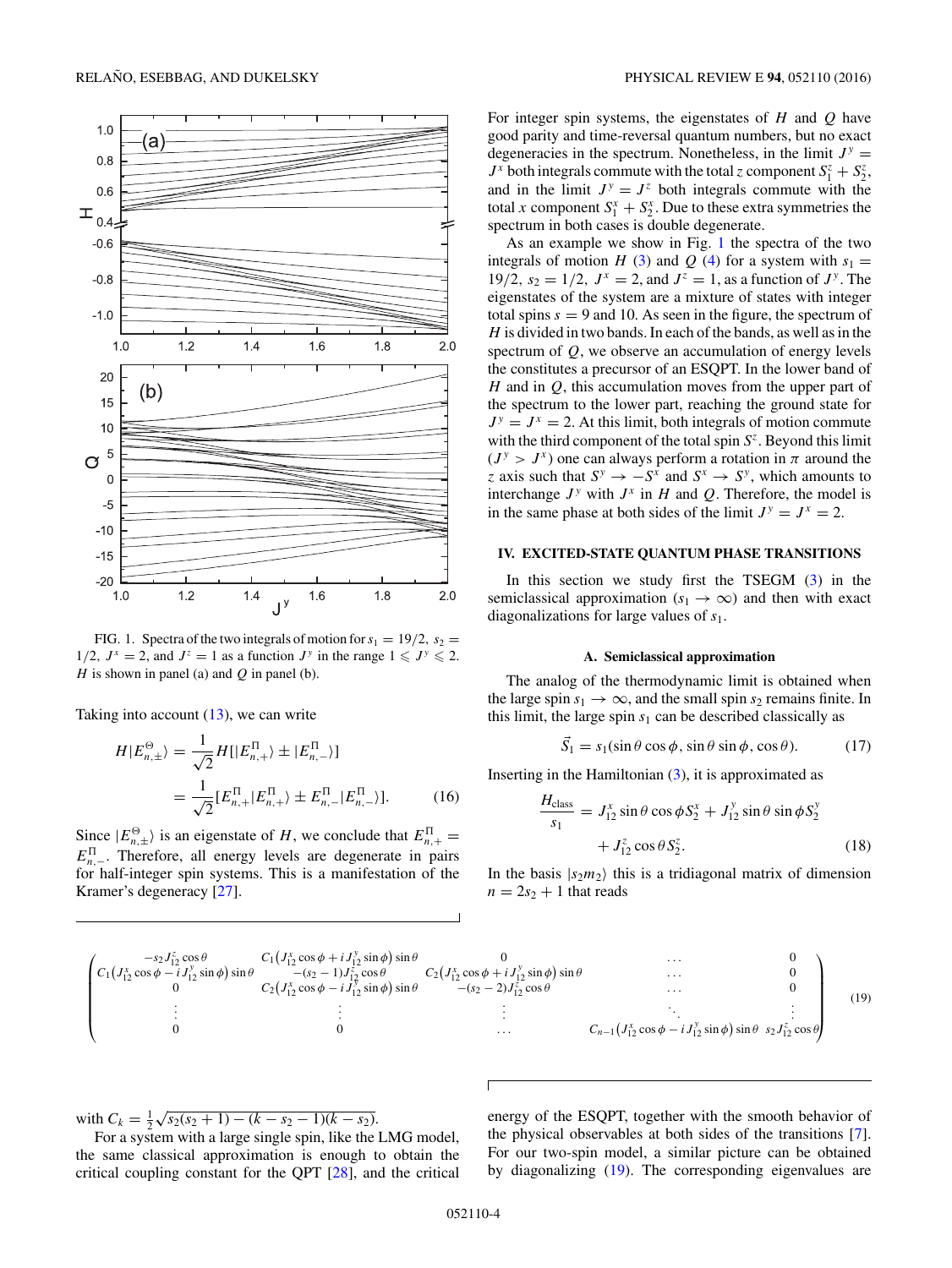<span id="page-3-0"></span>

FIG. 1. Spectra of the two integrals of motion for  $s_1 = 19/2$ ,  $s_2 =$ 1/2,  $J^x = 2$ , and  $J^z = 1$  as a function  $J^y$  in the range  $1 \leqslant J^y \leqslant 2$ . *H* is shown in panel (a) and *Q* in panel (b).

Taking into account  $(13)$ , we can write

$$
H|E_{n,\pm}^{\Theta}\rangle = \frac{1}{\sqrt{2}} H[|E_{n,+}^{\Pi}\rangle \pm |E_{n,-}^{\Pi}\rangle]
$$
  
= 
$$
\frac{1}{\sqrt{2}} [E_{n,+}^{\Pi}|E_{n,+}^{\Pi}\rangle \pm E_{n,-}^{\Pi}|E_{n,-}^{\Pi}\rangle].
$$
 (16)

Since  $|E_{n,\pm}^{\Theta}\rangle$  is an eigenstate of *H*, we conclude that  $E_{n,+}^{\Pi}$  =  $E_{n,-}^{\Pi}$ . Therefore, all energy levels are degenerate in pairs for half-integer spin systems. This is a manifestation of the Kramer's degeneracy [\[27\]](#page-9-0).

For integer spin systems, the eigenstates of *H* and *Q* have good parity and time-reversal quantum numbers, but no exact degeneracies in the spectrum. Nonetheless, in the limit  $J^y =$  $J^x$  both integrals commute with the total *z* component  $S_1^z + S_2^z$ , and in the limit  $J^y = J^z$  both integrals commute with the total *x* component  $S_1^x + S_2^x$ . Due to these extra symmetries the spectrum in both cases is double degenerate.

As an example we show in Fig. 1 the spectra of the two integrals of motion *H* [\(3\)](#page-1-0) and *Q* [\(4\)](#page-1-0) for a system with  $s_1 =$ 19/2,  $s_2 = 1/2$ ,  $J^x = 2$ , and  $J^z = 1$ , as a function of  $J^y$ . The eigenstates of the system are a mixture of states with integer total spins  $s = 9$  and 10. As seen in the figure, the spectrum of *H* is divided in two bands. In each of the bands, as well as in the spectrum of *Q*, we observe an accumulation of energy levels the constitutes a precursor of an ESQPT. In the lower band of *H* and in *Q*, this accumulation moves from the upper part of the spectrum to the lower part, reaching the ground state for  $J^y = J^x = 2$ . At this limit, both integrals of motion commute with the third component of the total spin *S<sup>z</sup>*. Beyond this limit  $(J^y > J^x)$  one can always perform a rotation in  $\pi$  around the *z* axis such that  $S^y \to -S^x$  and  $S^x \to S^y$ , which amounts to interchange  $J^y$  with  $J^x$  in  $H$  and  $Q$ . Therefore, the model is in the same phase at both sides of the limit  $J^y = J^x = 2$ .

#### **IV. EXCITED-STATE QUANTUM PHASE TRANSITIONS**

In this section we study first the TSEGM  $(3)$  in the semiclassical approximation ( $s_1 \rightarrow \infty$ ) and then with exact diagonalizations for large values of *s*1.

#### **A. Semiclassical approximation**

The analog of the thermodynamic limit is obtained when the large spin  $s_1 \rightarrow \infty$ , and the small spin  $s_2$  remains finite. In this limit, the large spin  $s_1$  can be described classically as

$$
\vec{S}_1 = s_1(\sin \theta \cos \phi, \sin \theta \sin \phi, \cos \theta). \tag{17}
$$

Inserting in the Hamiltonian [\(3\)](#page-1-0), it is approximated as

$$
\frac{H_{\text{class}}}{s_1} = J_{12}^x \sin \theta \cos \phi S_2^x + J_{12}^y \sin \theta \sin \phi S_2^y
$$

$$
+ J_{12}^z \cos \theta S_2^z. \tag{18}
$$

In the basis  $|s_2m_2\rangle$  this is a tridiagonal matrix of dimension  $n = 2s_2 + 1$  that reads

$$
\begin{pmatrix}\n-s_2 J_{12}^z \cos \theta & C_1 (J_{12}^x \cos \phi + i J_{12}^y \sin \phi) \sin \theta & 0 & \cdots & 0 \\
C_1 (J_{12}^x \cos \phi - i J_{12}^y \sin \phi) \sin \theta & -(s_2 - 1) J_{12}^z \cos \theta & C_2 (J_{12}^x \cos \phi + i J_{12}^y \sin \phi) \sin \theta & \cdots & 0 \\
0 & 0 & C_2 (J_{12}^x \cos \phi - i J_{12}^y \sin \phi) \sin \theta & -(s_2 - 2) J_{12}^z \cos \theta & \cdots & 0 \\
\vdots & \vdots & \vdots & \ddots & \vdots & \vdots \\
0 & 0 & \cdots & C_{n-1} (J_{12}^x \cos \phi - i J_{12}^y \sin \phi) \sin \theta & s_2 J_{12}^z \cos \theta\n\end{pmatrix}
$$
\n(19)

with  $C_k = \frac{1}{2}\sqrt{s_2(s_2+1)-(k-s_2-1)(k-s_2)}$ .

For a system with a large single spin, like the LMG model, the same classical approximation is enough to obtain the critical coupling constant for the QPT [\[28\]](#page-9-0), and the critical

energy of the ESQPT, together with the smooth behavior of the physical observables at both sides of the transitions [\[7\]](#page-9-0). For our two-spin model, a similar picture can be obtained by diagonalizing (19). The corresponding eigenvalues are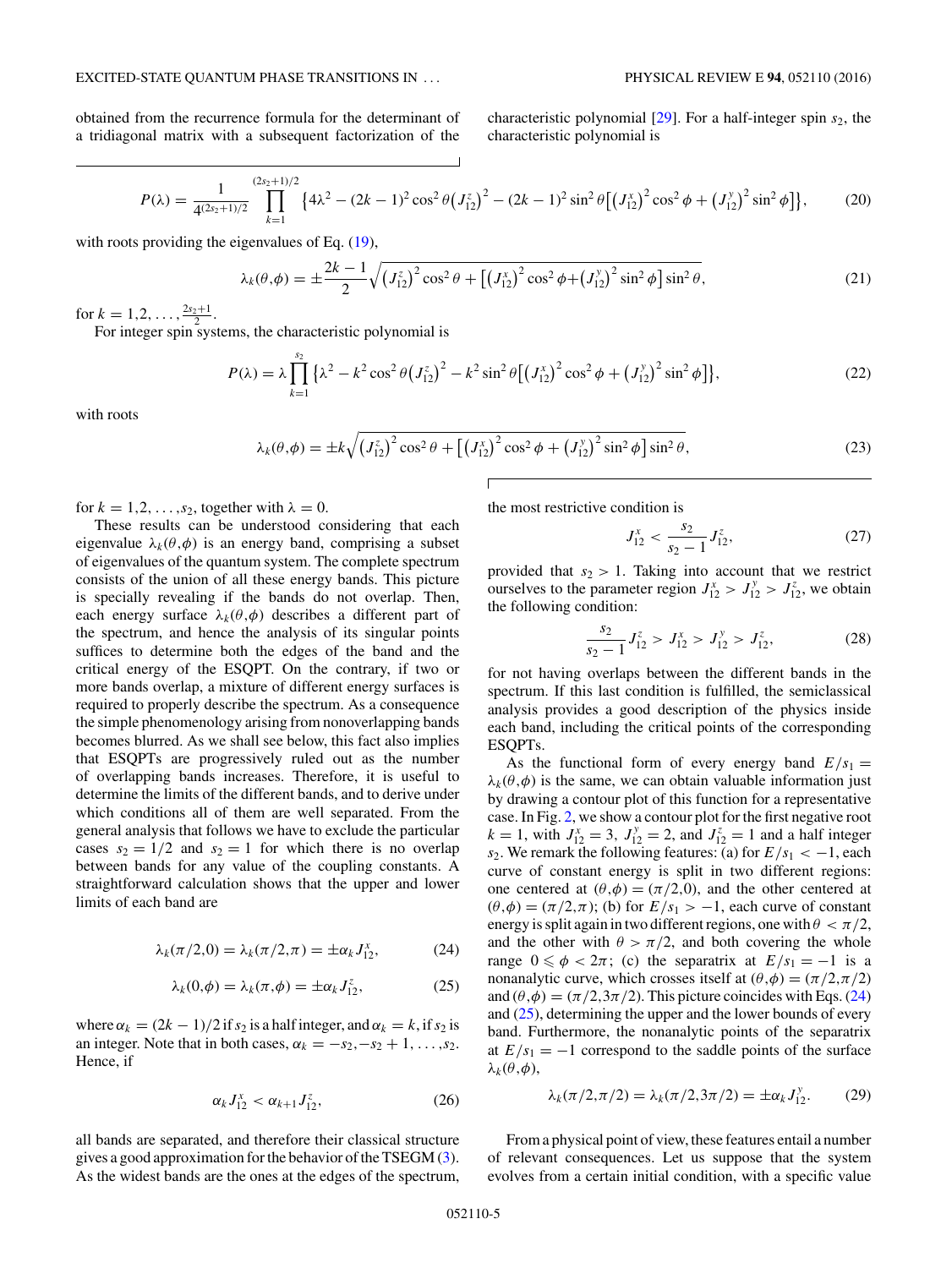<span id="page-4-0"></span>obtained from the recurrence formula for the determinant of a tridiagonal matrix with a subsequent factorization of the

characteristic polynomial [\[29\]](#page-9-0). For a half-integer spin *s*2, the characteristic polynomial is

$$
P(\lambda) = \frac{1}{4^{(2s_2+1)/2}} \prod_{k=1}^{(2s_2+1)/2} \{4\lambda^2 - (2k-1)^2 \cos^2 \theta \left(J_{12}^z\right)^2 - (2k-1)^2 \sin^2 \theta \left[\left(J_{12}^x\right)^2 \cos^2 \phi + \left(J_{12}^y\right)^2 \sin^2 \phi\right]\},\tag{20}
$$

with roots providing the eigenvalues of Eq.  $(19)$ ,

$$
\lambda_k(\theta,\phi) = \pm \frac{2k-1}{2} \sqrt{\left(J_{12}^z\right)^2 \cos^2\theta + \left[\left(J_{12}^x\right)^2 \cos^2\phi + \left(J_{12}^y\right)^2 \sin^2\phi\right] \sin^2\theta},\tag{21}
$$

for  $k = 1, 2, \ldots, \frac{2s_2+1}{2}$ .

For integer spin systems, the characteristic polynomial is

$$
P(\lambda) = \lambda \prod_{k=1}^{s_2} \left\{ \lambda^2 - k^2 \cos^2 \theta \left( J_{12}^z \right)^2 - k^2 \sin^2 \theta \left[ \left( J_{12}^x \right)^2 \cos^2 \phi + \left( J_{12}^y \right)^2 \sin^2 \phi \right] \right\},\tag{22}
$$

with roots

$$
\lambda_k(\theta, \phi) = \pm k \sqrt{\left(J_{12}^z\right)^2 \cos^2 \theta + \left[\left(J_{12}^x\right)^2 \cos^2 \phi + \left(J_{12}^y\right)^2 \sin^2 \phi\right] \sin^2 \theta},\tag{23}
$$

for  $k = 1, 2, \ldots, s_2$ , together with  $\lambda = 0$ .

These results can be understood considering that each eigenvalue  $\lambda_k(\theta, \phi)$  is an energy band, comprising a subset of eigenvalues of the quantum system. The complete spectrum consists of the union of all these energy bands. This picture is specially revealing if the bands do not overlap. Then, each energy surface  $\lambda_k(\theta, \phi)$  describes a different part of the spectrum, and hence the analysis of its singular points suffices to determine both the edges of the band and the critical energy of the ESQPT. On the contrary, if two or more bands overlap, a mixture of different energy surfaces is required to properly describe the spectrum. As a consequence the simple phenomenology arising from nonoverlapping bands becomes blurred. As we shall see below, this fact also implies that ESQPTs are progressively ruled out as the number of overlapping bands increases. Therefore, it is useful to determine the limits of the different bands, and to derive under which conditions all of them are well separated. From the general analysis that follows we have to exclude the particular cases  $s_2 = 1/2$  and  $s_2 = 1$  for which there is no overlap between bands for any value of the coupling constants. A straightforward calculation shows that the upper and lower limits of each band are

$$
\lambda_k(\pi/2,0) = \lambda_k(\pi/2,\pi) = \pm \alpha_k J_{12}^x,\tag{24}
$$

$$
\lambda_k(0,\phi) = \lambda_k(\pi,\phi) = \pm \alpha_k J_{12}^z,\tag{25}
$$

where  $\alpha_k = (2k - 1)/2$  if  $s_2$  is a half integer, and  $\alpha_k = k$ , if  $s_2$  is an integer. Note that in both cases,  $\alpha_k = -s_2, -s_2 + 1, \ldots, s_2$ . Hence, if

$$
\alpha_k J_{12}^x < \alpha_{k+1} J_{12}^z,\tag{26}
$$

all bands are separated, and therefore their classical structure gives a good approximation for the behavior of the TSEGM [\(3\)](#page-1-0). As the widest bands are the ones at the edges of the spectrum, the most restrictive condition is

$$
J_{12}^x < \frac{s_2}{s_2 - 1} J_{12}^z,\tag{27}
$$

provided that  $s_2 > 1$ . Taking into account that we restrict ourselves to the parameter region  $J_{12}^x > J_{12}^y > J_{12}^z$ , we obtain the following condition:

$$
\frac{s_2}{s_2 - 1} J_{12}^z > J_{12}^x > J_{12}^y > J_{12}^z,
$$
 (28)

for not having overlaps between the different bands in the spectrum. If this last condition is fulfilled, the semiclassical analysis provides a good description of the physics inside each band, including the critical points of the corresponding ESQPTs.

As the functional form of every energy band  $E/s_1 =$  $\lambda_k(\theta, \phi)$  is the same, we can obtain valuable information just by drawing a contour plot of this function for a representative case. In Fig. [2,](#page-5-0) we show a contour plot for the first negative root  $k = 1$ , with  $J_{12}^x = 3$ ,  $J_{12}^y = 2$ , and  $J_{12}^z = 1$  and a half integer *s*<sub>2</sub>. We remark the following features: (a) for  $E/s_1 < -1$ , each curve of constant energy is split in two different regions: one centered at  $(\theta, \phi) = (\pi/2, 0)$ , and the other centered at  $(\theta, \phi) = (\pi/2, \pi)$ ; (b) for  $E/s_1 > -1$ , each curve of constant energy is split again in two different regions, one with  $\theta < \pi/2$ , and the other with  $\theta > \pi/2$ , and both covering the whole range  $0 \le \phi < 2\pi$ ; (c) the separatrix at  $E/s_1 = -1$  is a nonanalytic curve, which crosses itself at  $(\theta, \phi) = (\pi/2, \pi/2)$ and  $(\theta, \phi) = (\pi/2, 3\pi/2)$ . This picture coincides with Eqs. (24) and (25), determining the upper and the lower bounds of every band. Furthermore, the nonanalytic points of the separatrix at  $E/s_1 = -1$  correspond to the saddle points of the surface  $λ_k$ ( $θ$ , $φ$ ),

$$
\lambda_k(\pi/2, \pi/2) = \lambda_k(\pi/2, 3\pi/2) = \pm \alpha_k J_{12}^y.
$$
 (29)

From a physical point of view, these features entail a number of relevant consequences. Let us suppose that the system evolves from a certain initial condition, with a specific value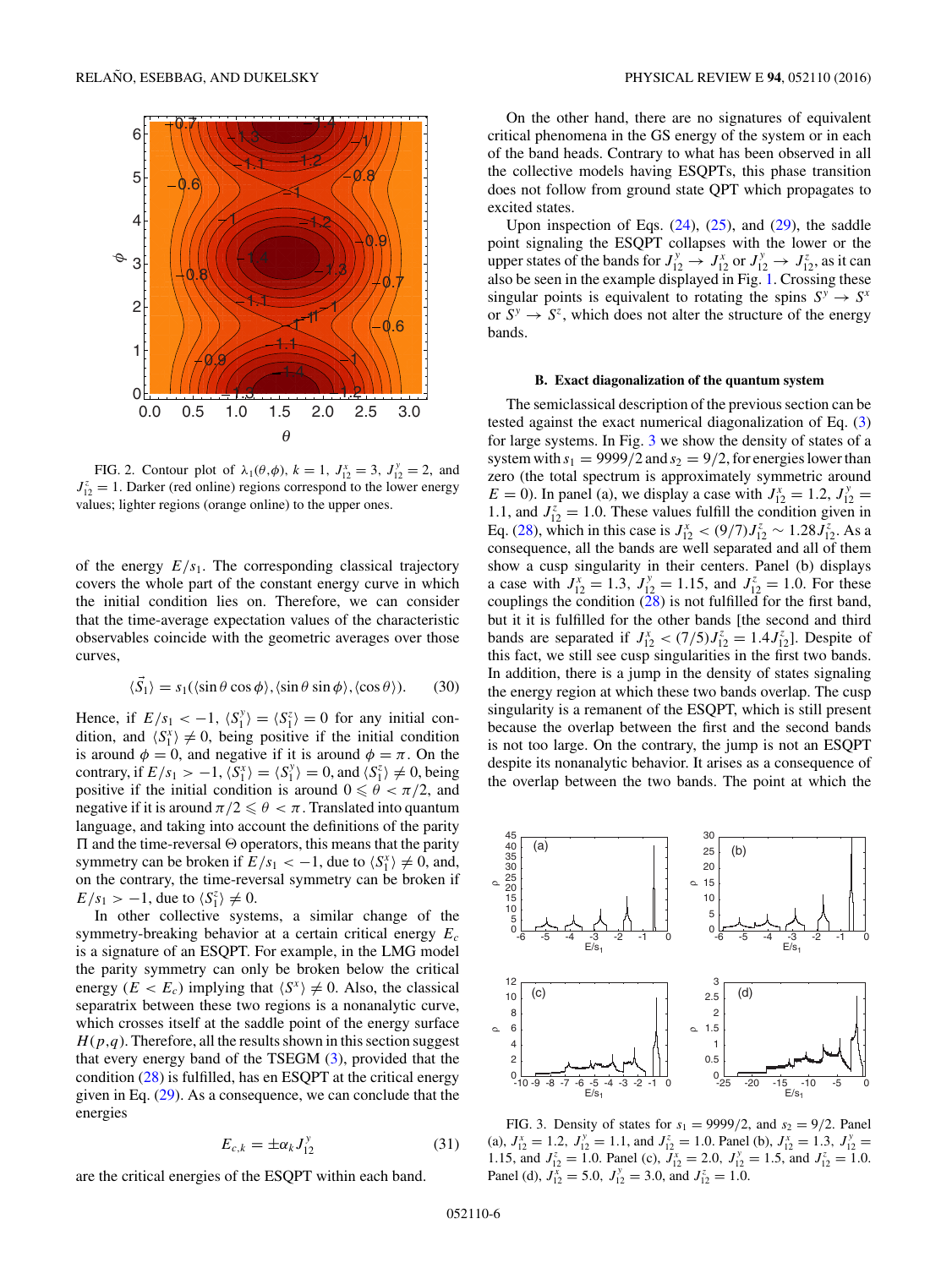<span id="page-5-0"></span>

FIG. 2. Contour plot of  $\lambda_1(\theta, \phi)$ ,  $k = 1$ ,  $J_{12}^x = 3$ ,  $J_{12}^y = 2$ , and  $J_{12}^z = 1$ . Darker (red online) regions correspond to the lower energy values; lighter regions (orange online) to the upper ones.

of the energy  $E/s<sub>1</sub>$ . The corresponding classical trajectory covers the whole part of the constant energy curve in which the initial condition lies on. Therefore, we can consider that the time-average expectation values of the characteristic observables coincide with the geometric averages over those curves,

$$
\langle \vec{S}_1 \rangle = s_1(\langle \sin \theta \cos \phi \rangle, \langle \sin \theta \sin \phi \rangle, \langle \cos \theta \rangle). \tag{30}
$$

Hence, if  $E/s_1 < -1$ ,  $\langle S_1^y \rangle = \langle S_1^z \rangle = 0$  for any initial condition, and  $\langle S_1^x \rangle \neq 0$ , being positive if the initial condition is around  $\phi = 0$ , and negative if it is around  $\phi = \pi$ . On the contrary, if  $E/s_1 > -1$ ,  $\langle S_1^x \rangle = \langle S_1^y \rangle = 0$ , and  $\langle S_1^z \rangle \neq 0$ , being positive if the initial condition is around  $0 \le \theta < \pi/2$ , and negative if it is around  $\pi/2 \leqslant \theta < \pi$  . Translated into quantum language, and taking into account the definitions of the parity  $\Pi$  and the time-reversal  $\Theta$  operators, this means that the parity symmetry can be broken if  $E/s_1 < -1$ , due to  $\langle S_1^x \rangle \neq 0$ , and, on the contrary, the time-reversal symmetry can be broken if  $E/s_1 > -1$ , due to  $\langle S_1^z \rangle \neq 0$ .

In other collective systems, a similar change of the symmetry-breaking behavior at a certain critical energy *Ec* is a signature of an ESQPT. For example, in the LMG model the parity symmetry can only be broken below the critical energy  $(E < E_c)$  implying that  $\langle S^x \rangle \neq 0$ . Also, the classical separatrix between these two regions is a nonanalytic curve, which crosses itself at the saddle point of the energy surface  $H(p,q)$ . Therefore, all the results shown in this section suggest that every energy band of the TSEGM [\(3\)](#page-1-0), provided that the condition [\(28\)](#page-4-0) is fulfilled, has en ESQPT at the critical energy given in Eq. [\(29\)](#page-4-0). As a consequence, we can conclude that the energies

$$
E_{c,k} = \pm \alpha_k J_{12}^y \tag{31}
$$

are the critical energies of the ESQPT within each band.

On the other hand, there are no signatures of equivalent critical phenomena in the GS energy of the system or in each of the band heads. Contrary to what has been observed in all the collective models having ESQPTs, this phase transition does not follow from ground state QPT which propagates to excited states.

Upon inspection of Eqs.  $(24)$ ,  $(25)$ , and  $(29)$ , the saddle point signaling the ESQPT collapses with the lower or the upper states of the bands for  $J_{12}^y \rightarrow J_{12}^x$  or  $J_{12}^y \rightarrow J_{12}^z$ , as it can also be seen in the example displayed in Fig. [1.](#page-3-0) Crossing these singular points is equivalent to rotating the spins  $S^y \to S^x$ or  $S^y \rightarrow S^z$ , which does not alter the structure of the energy bands.

## **B. Exact diagonalization of the quantum system**

The semiclassical description of the previous section can be tested against the exact numerical diagonalization of Eq. [\(3\)](#page-1-0) for large systems. In Fig. 3 we show the density of states of a system with  $s_1 = 9999/2$  and  $s_2 = 9/2$ , for energies lower than zero (the total spectrum is approximately symmetric around  $E = 0$ ). In panel (a), we display a case with  $J_{12}^x = 1.2$ ,  $J_{12}^y =$ 1.1, and  $J_{12}^z = 1.0$ . These values fulfill the condition given in Eq. [\(28\)](#page-4-0), which in this case is  $J_{12}^x < (9/7)J_{12}^z \sim 1.28 J_{12}^z$ . As a consequence, all the bands are well separated and all of them show a cusp singularity in their centers. Panel (b) displays a case with  $J_{12}^x = 1.3$ ,  $J_{12}^y = 1.15$ , and  $J_{12}^z = 1.0$ . For these couplings the condition  $(28)$  is not fulfilled for the first band, but it it is fulfilled for the other bands [the second and third bands are separated if  $J_{12}^x < (7/5)J_{12}^z = 1.4J_{12}^z$ . Despite of this fact, we still see cusp singularities in the first two bands. In addition, there is a jump in the density of states signaling the energy region at which these two bands overlap. The cusp singularity is a remanent of the ESQPT, which is still present because the overlap between the first and the second bands is not too large. On the contrary, the jump is not an ESQPT despite its nonanalytic behavior. It arises as a consequence of the overlap between the two bands. The point at which the



FIG. 3. Density of states for  $s_1 = 9999/2$ , and  $s_2 = 9/2$ . Panel (a),  $J_{12}^x = 1.2$ ,  $J_{12}^y = 1.1$ , and  $J_{12}^z = 1.0$ . Panel (b),  $J_{12}^x = 1.3$ ,  $J_{12}^y =$ 1.15, and  $J_{12}^z = 1.0$ . Panel (c),  $J_{12}^x = 2.0$ ,  $J_{12}^y = 1.5$ , and  $J_{12}^z = 1.0$ . Panel (d),  $J_{12}^{\overline{x}} = 5.0$ ,  $J_{12}^{\overline{y}} = 3.0$ , and  $J_{12}^{\overline{z}} = 1.0$ .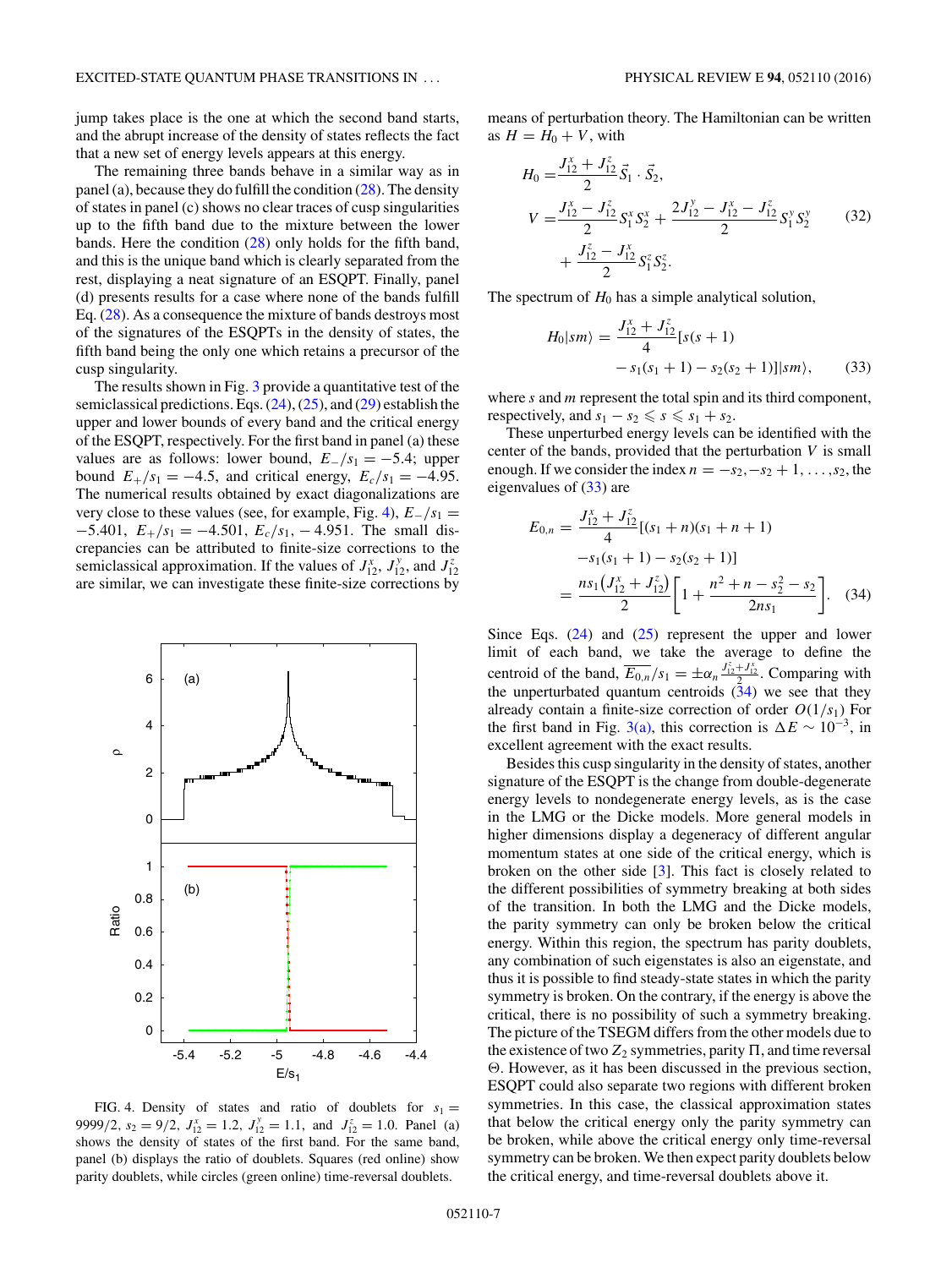<span id="page-6-0"></span>jump takes place is the one at which the second band starts, and the abrupt increase of the density of states reflects the fact that a new set of energy levels appears at this energy.

The remaining three bands behave in a similar way as in panel (a), because they do fulfill the condition  $(28)$ . The density of states in panel (c) shows no clear traces of cusp singularities up to the fifth band due to the mixture between the lower bands. Here the condition [\(28\)](#page-4-0) only holds for the fifth band, and this is the unique band which is clearly separated from the rest, displaying a neat signature of an ESQPT. Finally, panel (d) presents results for a case where none of the bands fulfill Eq. [\(28\)](#page-4-0). As a consequence the mixture of bands destroys most of the signatures of the ESQPTs in the density of states, the fifth band being the only one which retains a precursor of the cusp singularity.

The results shown in Fig. [3](#page-5-0) provide a quantitative test of the semiclassical predictions. Eqs.  $(24)$ ,  $(25)$ , and  $(29)$  establish the upper and lower bounds of every band and the critical energy of the ESQPT, respectively. For the first band in panel (a) these values are as follows: lower bound,  $E_{-}/s_1 = -5.4$ ; upper bound  $E_+/s_1 = -4.5$ , and critical energy,  $E_c/s_1 = -4.95$ . The numerical results obtained by exact diagonalizations are very close to these values (see, for example, Fig. 4), *E*−*/s*<sup>1</sup> = −5*.*401, *E*+*/s*<sup>1</sup> = −4*.*501*, Ec/s*1*,* − 4*.*951. The small discrepancies can be attributed to finite-size corrections to the semiclassical approximation. If the values of  $J_{12}^x$ ,  $J_{12}^y$ , and  $J_{12}^z$ are similar, we can investigate these finite-size corrections by



FIG. 4. Density of states and ratio of doublets for  $s_1 =$ 9999/2*,*  $s_2 = 9/2$ ,  $J_{12}^x = 1.2$ ,  $J_{12}^y = 1.1$ , and  $J_{12}^z = 1.0$ . Panel (a) shows the density of states of the first band. For the same band, panel (b) displays the ratio of doublets. Squares (red online) show parity doublets, while circles (green online) time-reversal doublets.

means of perturbation theory. The Hamiltonian can be written as  $H = H_0 + V$ , with

$$
H_0 = \frac{J_{12}^x + J_{12}^z}{2} \vec{S}_1 \cdot \vec{S}_2,
$$
  
\n
$$
V = \frac{J_{12}^x - J_{12}^z}{2} S_1^x S_2^x + \frac{2J_{12}^y - J_{12}^x - J_{12}^z}{2} S_1^y S_2^y
$$
(32)  
\n
$$
+ \frac{J_{12}^z - J_{12}^x}{2} S_1^z S_2^z.
$$

The spectrum of  $H_0$  has a simple analytical solution,

$$
H_0|sm\rangle = \frac{J_{12}^x + J_{12}^z}{4} [s(s+1) - s_1(s_1+1) - s_2(s_2+1)]|sm\rangle, \qquad (33)
$$

where *s* and *m* represent the total spin and its third component, respectively, and  $s_1 - s_2 \le s \le s_1 + s_2$ .

These unperturbed energy levels can be identified with the center of the bands, provided that the perturbation *V* is small enough. If we consider the index  $n = -s_2, -s_2 + 1, \ldots, s_2$ , the eigenvalues of (33) are

$$
E_{0,n} = \frac{J_{12}^x + J_{12}^z}{4} [(s_1 + n)(s_1 + n + 1)
$$
  
\n
$$
-s_1(s_1 + 1) - s_2(s_2 + 1)]
$$
  
\n
$$
= \frac{n s_1 (J_{12}^x + J_{12}^z)}{2} \left[ 1 + \frac{n^2 + n - s_2^2 - s_2}{2ns_1} \right].
$$
 (34)

Since Eqs.  $(24)$  and  $(25)$  represent the upper and lower limit of each band, we take the average to define the centroid of the band,  $\overline{E_{0,n}}/s_1 = \pm \alpha_n \frac{J_{12}^z + J_{12}^x}{2}$ . Comparing with the unperturbated quantum centroids  $(34)$  we see that they already contain a finite-size correction of order  $O(1/s<sub>1</sub>)$  For the first band in Fig. [3\(a\),](#page-5-0) this correction is  $\Delta E \sim 10^{-3}$ , in excellent agreement with the exact results.

Besides this cusp singularity in the density of states, another signature of the ESQPT is the change from double-degenerate energy levels to nondegenerate energy levels, as is the case in the LMG or the Dicke models. More general models in higher dimensions display a degeneracy of different angular momentum states at one side of the critical energy, which is broken on the other side [\[3\]](#page-9-0). This fact is closely related to the different possibilities of symmetry breaking at both sides of the transition. In both the LMG and the Dicke models, the parity symmetry can only be broken below the critical energy. Within this region, the spectrum has parity doublets, any combination of such eigenstates is also an eigenstate, and thus it is possible to find steady-state states in which the parity symmetry is broken. On the contrary, if the energy is above the critical, there is no possibility of such a symmetry breaking. The picture of the TSEGM differs from the other models due to the existence of two  $Z_2$  symmetries, parity  $\Pi$ , and time reversal . However, as it has been discussed in the previous section, ESQPT could also separate two regions with different broken symmetries. In this case, the classical approximation states that below the critical energy only the parity symmetry can be broken, while above the critical energy only time-reversal symmetry can be broken. We then expect parity doublets below the critical energy, and time-reversal doublets above it.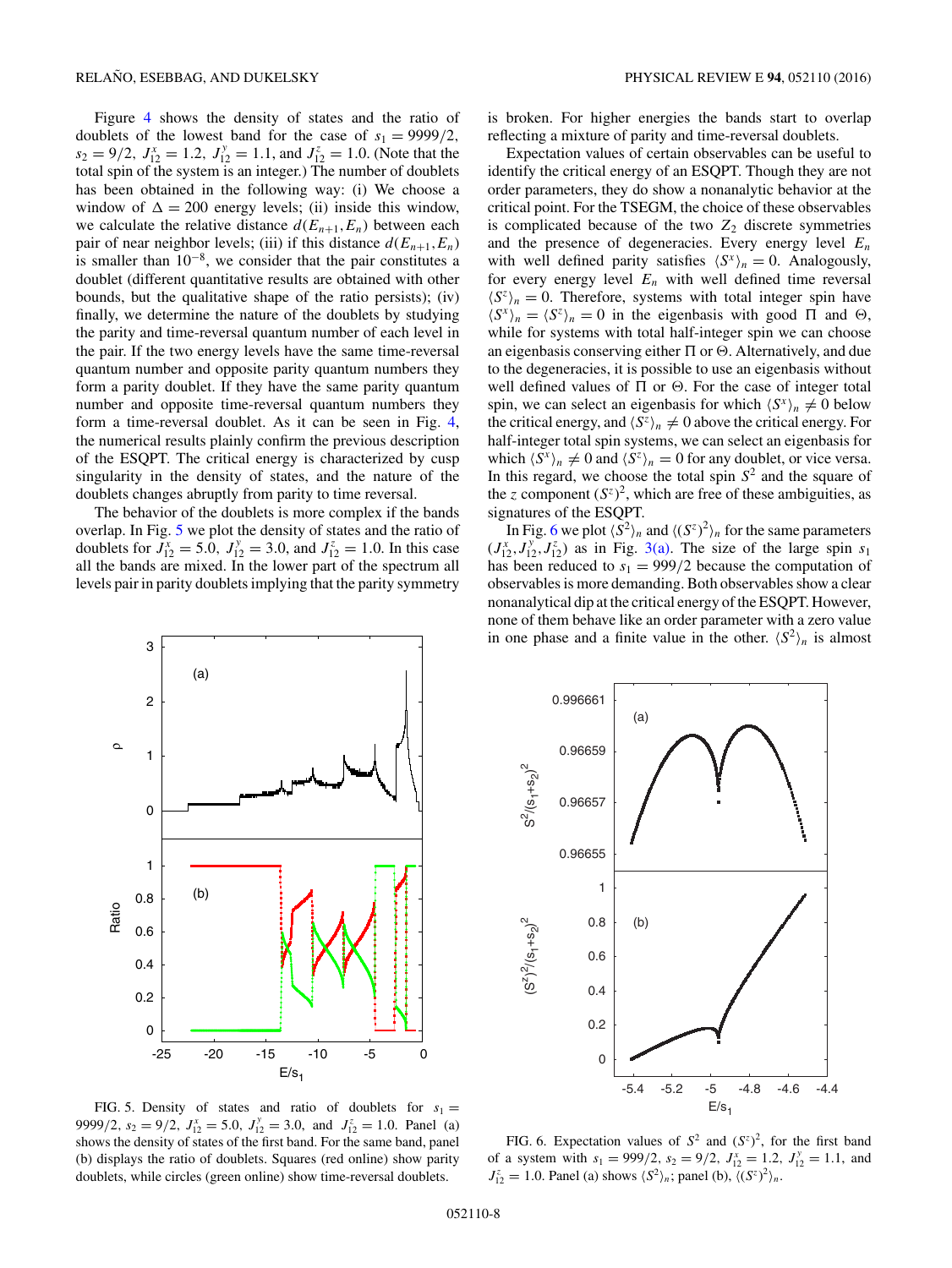<span id="page-7-0"></span>Figure [4](#page-6-0) shows the density of states and the ratio of doublets of the lowest band for the case of  $s_1 = 9999/2$ ,  $s_2 = 9/2$ ,  $J_{12}^x = 1.2$ ,  $J_{12}^y = 1.1$ , and  $J_{12}^z = 1.0$ . (Note that the total spin of the system is an integer.) The number of doublets has been obtained in the following way: (i) We choose a window of  $\Delta = 200$  energy levels; (ii) inside this window, we calculate the relative distance  $d(E_{n+1}, E_n)$  between each pair of near neighbor levels; (iii) if this distance  $d(E_{n+1}, E_n)$ is smaller than  $10^{-8}$ , we consider that the pair constitutes a doublet (different quantitative results are obtained with other bounds, but the qualitative shape of the ratio persists); (iv) finally, we determine the nature of the doublets by studying the parity and time-reversal quantum number of each level in the pair. If the two energy levels have the same time-reversal quantum number and opposite parity quantum numbers they form a parity doublet. If they have the same parity quantum number and opposite time-reversal quantum numbers they form a time-reversal doublet. As it can be seen in Fig. [4,](#page-6-0) the numerical results plainly confirm the previous description of the ESQPT. The critical energy is characterized by cusp singularity in the density of states, and the nature of the doublets changes abruptly from parity to time reversal.

The behavior of the doublets is more complex if the bands overlap. In Fig. 5 we plot the density of states and the ratio of doublets for  $J_{12}^x = 5.0$ ,  $J_{12}^y = 3.0$ , and  $J_{12}^z = 1.0$ . In this case all the bands are mixed. In the lower part of the spectrum all levels pair in parity doublets implying that the parity symmetry is broken. For higher energies the bands start to overlap reflecting a mixture of parity and time-reversal doublets.

Expectation values of certain observables can be useful to identify the critical energy of an ESQPT. Though they are not order parameters, they do show a nonanalytic behavior at the critical point. For the TSEGM, the choice of these observables is complicated because of the two  $Z_2$  discrete symmetries and the presence of degeneracies. Every energy level *En* with well defined parity satisfies  $\langle S^x \rangle_n = 0$ . Analogously, for every energy level  $E_n$  with well defined time reversal  $\langle S^z \rangle_n = 0$ . Therefore, systems with total integer spin have  $\langle S^x \rangle_n = \langle S^z \rangle_n = 0$  in the eigenbasis with good  $\Pi$  and  $\Theta$ , while for systems with total half-integer spin we can choose an eigenbasis conserving either  $\Pi$  or  $\Theta$ . Alternatively, and due to the degeneracies, it is possible to use an eigenbasis without well defined values of  $\Pi$  or  $\Theta$ . For the case of integer total spin, we can select an eigenbasis for which  $\langle S^x \rangle_n \neq 0$  below the critical energy, and  $\langle S^z \rangle_n \neq 0$  above the critical energy. For half-integer total spin systems, we can select an eigenbasis for which  $\langle S^x \rangle_n \neq 0$  and  $\langle S^z \rangle_n = 0$  for any doublet, or vice versa. In this regard, we choose the total spin  $S<sup>2</sup>$  and the square of the *z* component  $(S^z)^2$ , which are free of these ambiguities, as signatures of the ESQPT.

In Fig. 6 we plot  $\langle S^2 \rangle_n$  and  $\langle (S^z)^2 \rangle_n$  for the same parameters  $(J_{12}^x, J_{12}^y, J_{12}^z)$  as in Fig. [3\(a\).](#page-5-0) The size of the large spin  $s_1$ has been reduced to  $s_1 = 999/2$  because the computation of observables is more demanding. Both observables show a clear nonanalytical dip at the critical energy of the ESQPT. However, none of them behave like an order parameter with a zero value in one phase and a finite value in the other.  $\langle S^2 \rangle_n$  is almost





FIG. 5. Density of states and ratio of doublets for  $s_1 =$ 9999/2,  $s_2 = 9/2$ ,  $J_{12}^x = 5.0$ ,  $J_{12}^y = 3.0$ , and  $J_{12}^z = 1.0$ . Panel (a) shows the density of states of the first band. For the same band, panel (b) displays the ratio of doublets. Squares (red online) show parity doublets, while circles (green online) show time-reversal doublets.

FIG. 6. Expectation values of  $S^2$  and  $(S^z)^2$ , for the first band of a system with  $s_1 = 999/2$ ,  $s_2 = 9/2$ ,  $J_{12}^x = 1.2$ ,  $J_{12}^y = 1.1$ , and  $J_{12}^z = 1.0$ . Panel (a) shows  $\langle S^2 \rangle_n$ ; panel (b),  $\langle (S^z)^2 \rangle_n$ .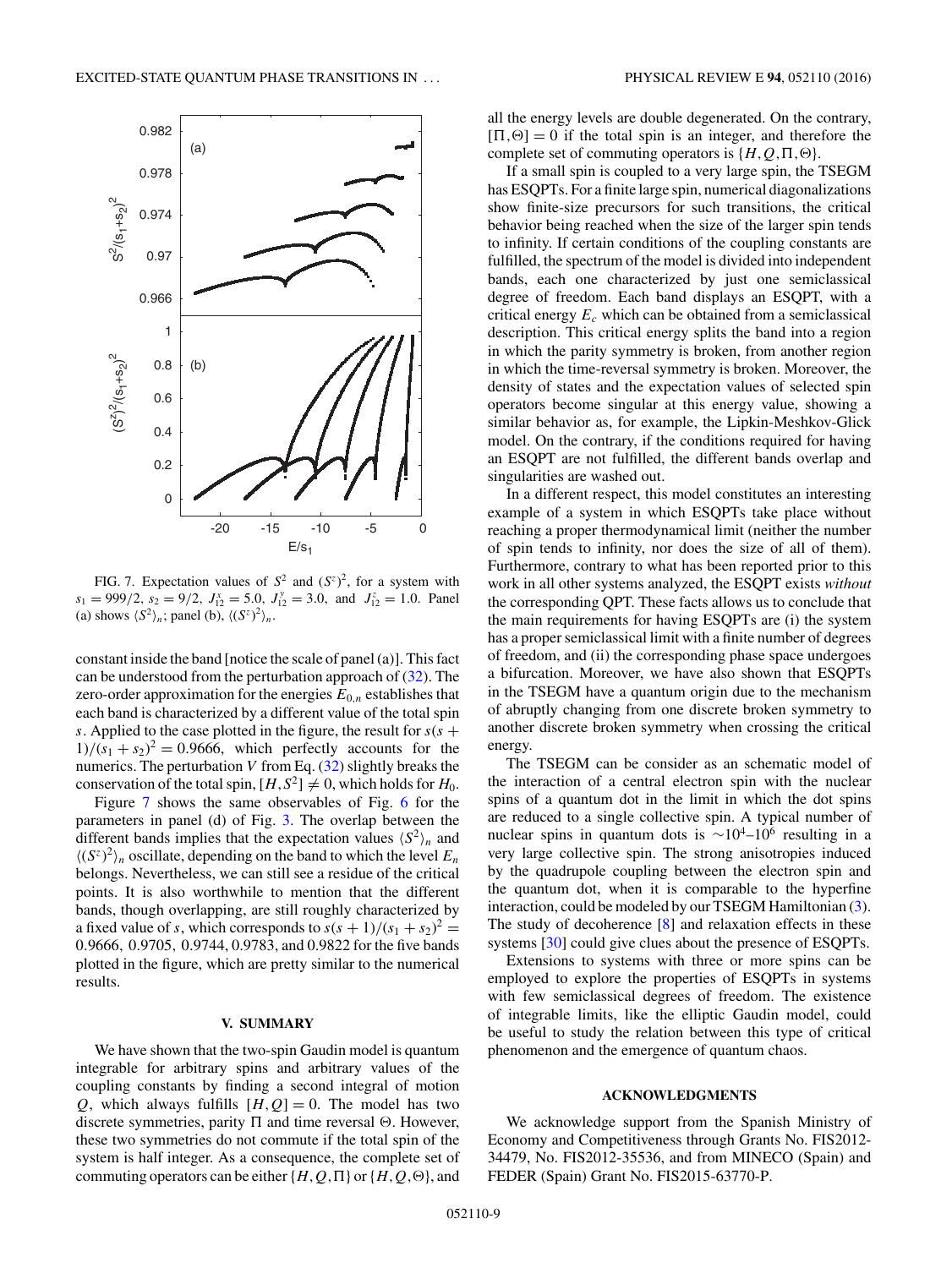<span id="page-8-0"></span>

FIG. 7. Expectation values of  $S^2$  and  $(S^z)^2$ , for a system with  $s_1 = 999/2$ ,  $s_2 = 9/2$ ,  $J_{12}^x = 5.0$ ,  $J_{12}^y = 3.0$ , and  $J_{12}^z = 1.0$ . Panel (a) shows  $\langle S^2 \rangle_n$ ; panel (b),  $\langle (S^z)^2 \rangle_n$ .

constant inside the band [notice the scale of panel (a)]. This fact can be understood from the perturbation approach of  $(32)$ . The zero-order approximation for the energies  $E_{0,n}$  establishes that each band is characterized by a different value of the total spin *s*. Applied to the case plotted in the figure, the result for  $s(s +$  $1)/(s_1 + s_2)^2 = 0.9666$ , which perfectly accounts for the numerics. The perturbation *V* from Eq. [\(32\)](#page-6-0) slightly breaks the conservation of the total spin,  $[H, S^2] \neq 0$ , which holds for  $H_0$ .

Figure 7 shows the same observables of Fig. [6](#page-7-0) for the parameters in panel (d) of Fig. [3.](#page-5-0) The overlap between the different bands implies that the expectation values  $\langle S^2 \rangle_n$  and  $\langle (S^z)^2 \rangle_n$  oscillate, depending on the band to which the level  $E_n$ belongs. Nevertheless, we can still see a residue of the critical points. It is also worthwhile to mention that the different bands, though overlapping, are still roughly characterized by a fixed value of *s*, which corresponds to  $s(s + 1)/(s_1 + s_2)^2$  = 0*.*9666*,* 0*.*9705*,* 0*.*9744, 0.9783, and 0.9822 for the five bands plotted in the figure, which are pretty similar to the numerical results.

#### **V. SUMMARY**

We have shown that the two-spin Gaudin model is quantum integrable for arbitrary spins and arbitrary values of the coupling constants by finding a second integral of motion *Q*, which always fulfills  $[H, Q] = 0$ . The model has two discrete symmetries, parity  $\Pi$  and time reversal  $\Theta$ . However, these two symmetries do not commute if the total spin of the system is half integer. As a consequence, the complete set of commuting operators can be either  $\{H, Q, \Pi\}$  or  $\{H, Q, \Theta\}$ , and

all the energy levels are double degenerated. On the contrary,  $[\Pi, \Theta] = 0$  if the total spin is an integer, and therefore the complete set of commuting operators is  $\{H, Q, \Pi, \Theta\}.$ 

If a small spin is coupled to a very large spin, the TSEGM has ESQPTs. For a finite large spin, numerical diagonalizations show finite-size precursors for such transitions, the critical behavior being reached when the size of the larger spin tends to infinity. If certain conditions of the coupling constants are fulfilled, the spectrum of the model is divided into independent bands, each one characterized by just one semiclassical degree of freedom. Each band displays an ESQPT, with a critical energy *Ec* which can be obtained from a semiclassical description. This critical energy splits the band into a region in which the parity symmetry is broken, from another region in which the time-reversal symmetry is broken. Moreover, the density of states and the expectation values of selected spin operators become singular at this energy value, showing a similar behavior as, for example, the Lipkin-Meshkov-Glick model. On the contrary, if the conditions required for having an ESQPT are not fulfilled, the different bands overlap and singularities are washed out.

In a different respect, this model constitutes an interesting example of a system in which ESQPTs take place without reaching a proper thermodynamical limit (neither the number of spin tends to infinity, nor does the size of all of them). Furthermore, contrary to what has been reported prior to this work in all other systems analyzed, the ESQPT exists *without* the corresponding QPT. These facts allows us to conclude that the main requirements for having ESQPTs are (i) the system has a proper semiclassical limit with a finite number of degrees of freedom, and (ii) the corresponding phase space undergoes a bifurcation. Moreover, we have also shown that ESQPTs in the TSEGM have a quantum origin due to the mechanism of abruptly changing from one discrete broken symmetry to another discrete broken symmetry when crossing the critical energy.

The TSEGM can be consider as an schematic model of the interaction of a central electron spin with the nuclear spins of a quantum dot in the limit in which the dot spins are reduced to a single collective spin. A typical number of nuclear spins in quantum dots is  $\sim 10^4$ –10<sup>6</sup> resulting in a very large collective spin. The strong anisotropies induced by the quadrupole coupling between the electron spin and the quantum dot, when it is comparable to the hyperfine interaction, could be modeled by our TSEGM Hamiltonian [\(3\)](#page-1-0). The study of decoherence [\[8\]](#page-9-0) and relaxation effects in these systems [\[30\]](#page-9-0) could give clues about the presence of ESQPTs.

Extensions to systems with three or more spins can be employed to explore the properties of ESQPTs in systems with few semiclassical degrees of freedom. The existence of integrable limits, like the elliptic Gaudin model, could be useful to study the relation between this type of critical phenomenon and the emergence of quantum chaos.

#### **ACKNOWLEDGMENTS**

We acknowledge support from the Spanish Ministry of Economy and Competitiveness through Grants No. FIS2012- 34479, No. FIS2012-35536, and from MINECO (Spain) and FEDER (Spain) Grant No. FIS2015-63770-P.